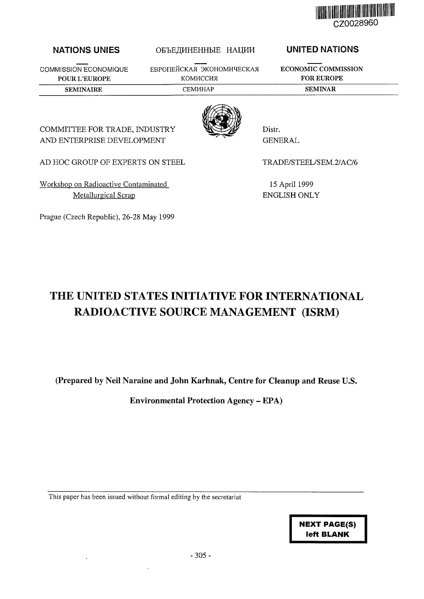

## NATIONS UNIES

COMMISSION ECONOMIQUE POUR L'EUROPE

ЕВРОПЕЙСКАЯ ЭКОНОМИЧЕСКАЯ КОМИССИЯ

ОБЪЕДИНЕННЫЕ НАЦИИ

UNITED NATIONS

SEMINAIRE CEMHAP CEMHAP SEMINAR

ECONOMIC COMMISSION FOR EUROPE



Distr. GENERAL

AD HOC GROUP OF EXPERTS ON STEEL

COMMITTEE FOR TRADE, INDUSTRY AND ENTERPRISE DEVELOPMENT

Workshop on Radioactive Contaminated Metallurgical Scrap

Prague (Czech Republic), 26-28 May 1999

TRADE/STEEL/SEM.2/AC/6

15 April 1999 ENGLISH ONLY

# THE UNITED STATES INITIATIVE FOR INTERNATIONAL RADIOACTIVE SOURCE MANAGEMENT (ISRM)

(Prepared by Neil Naraine and John Karhnak, Centre for Cleanup and Reuse U.S.

Environmental Protection Agency - EPA)

This paper has been issued without formal editing by the secretariat

**NEXT PAGE(S) left BLANK**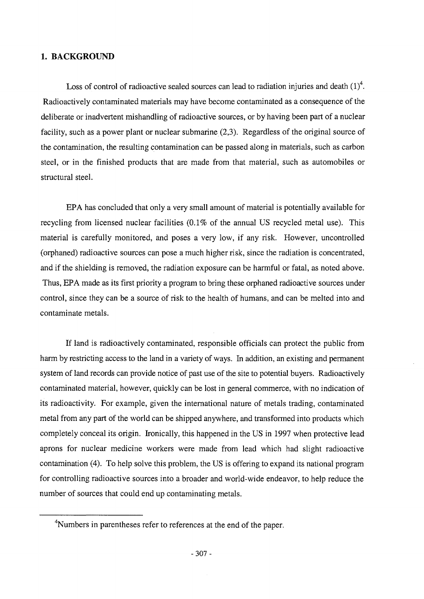## 1. BACKGROUND

Loss of control of radioactive sealed sources can lead to radiation injuries and death  $(1)^4$ . Radioactively contaminated materials may have become contaminated as a consequence of the deliberate or inadvertent mishandling of radioactive sources, or by having been part of a nuclear facility, such as a power plant or nuclear submarine (2,3). Regardless of the original source of the contamination, the resulting contamination can be passed along in materials, such as carbon steel, or in the finished products that are made from that material, such as automobiles or structural steel.

EPA has concluded that only a very small amount of material is potentially available for recycling from licensed nuclear facilities (0.1% of the annual US recycled metal use). This material is carefully monitored, and poses a very low, if any risk. However, uncontrolled (orphaned) radioactive sources can pose a much higher risk, since the radiation is concentrated, and if the shielding is removed, the radiation exposure can be harmful or fatal, as noted above. Thus, EPA made as its first priority a program to bring these orphaned radioactive sources under control, since they can be a source of risk to the health of humans, and can be melted into and contaminate metals.

If land is radioactively contaminated, responsible officials can protect the public from harm by restricting access to the land in a variety of ways. In addition, an existing and permanent system of land records can provide notice of past use of the site to potential buyers. Radioactively contaminated material, however, quickly can be lost in general commerce, with no indication of its radioactivity. For example, given the international nature of metals trading, contaminated metal from any part of the world can be shipped anywhere, and transformed into products which completely conceal its origin. Ironically, this happened in the US in 1997 when protective lead aprons for nuclear medicine workers were made from lead which had slight radioactive contamination (4). To help solve this problem, the US is offering to expand its national program for controlling radioactive sources into a broader and world-wide endeavor, to help reduce the number of sources that could end up contaminating metals.

<sup>&</sup>lt;sup>4</sup>Numbers in parentheses refer to references at the end of the paper.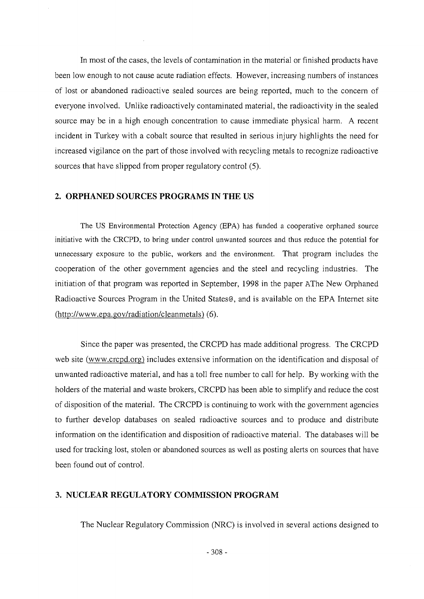In most of the cases, the levels of contamination in the material or finished products have been low enough to not cause acute radiation effects. However, increasing numbers of instances of lost or abandoned radioactive sealed sources are being reported, much to the concern of everyone involved. Unlike radioactively contaminated material, the radioactivity in the sealed source may be in a high enough concentration to cause immediate physical harm. A recent incident in Turkey with a cobalt source that resulted in serious injury highlights the need for increased vigilance on the part of those involved with recycling metals to recognize radioactive sources that have slipped from proper regulatory control (5).

## **2. ORPHANED SOURCES PROGRAMS IN THE US**

The US Environmental Protection Agency (EPA) has funded a cooperative orphaned source initiative with the CRCPD, to bring under control unwanted sources and thus reduce the potential for unnecessary exposure to the public, workers and the environment. That program includes the cooperation of the other government agencies and the steel and recycling industries. The initiation of that program was reported in September, 1998 in the paper AThe New Orphaned Radioactive Sources Program in the United States©, and is available on the EPA Internet site (http://www.epa.gov/radiation/cleanmetals) (6).

Since the paper was presented, the CRCPD has made additional progress. The CRCPD web site (www.crcpd.org) includes extensive information on the identification and disposal of unwanted radioactive material, and has a toll free number to call for help. By working with the holders of the material and waste brokers, CRCPD has been able to simplify and reduce the cost of disposition of the material. The CRCPD is continuing to work with the government agencies to further develop databases on sealed radioactive sources and to produce and distribute information on the identification and disposition of radioactive material. The databases will be used for tracking lost, stolen or abandoned sources as well as posting alerts on sources that have been found out of control.

## 3. **NUCLEAR REGULATORY COMMISSION PROGRAM**

The Nuclear Regulatory Commission (NRC) is involved in several actions designed to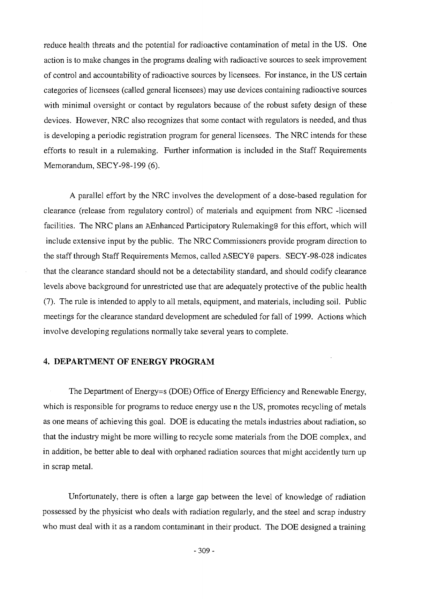reduce health threats and the potential for radioactive contamination of metal in the US. One action is to make changes in the programs dealing with radioactive sources to seek improvement of control and accountability of radioactive sources by licensees. For instance, in the US certain categories of licensees (called general licensees) may use devices containing radioactive sources with minimal oversight or contact by regulators because of the robust safety design of these devices. However, NRC also recognizes that some contact with regulators is needed, and thus is developing a periodic registration program for general licensees. The NRC intends for these efforts to result in a rulemaking. Further information is included in the Staff Requirements Memorandum, SECY-98-199 (6).

A parallel effort by the NRC involves the development of a dose-based regulation for clearance (release from regulatory control) of materials and equipment from NRC -licensed facilities. The NRC plans an AEnhanced Participatory Rulemaking@ for this effort, which will include extensive input by the public. The NRC Commissioners provide program direction to the staff through Staff Requirements Memos, called ASECY@ papers. SECY-98-028 indicates that the clearance standard should not be a detectability standard, and should codify clearance levels above background for unrestricted use that are adequately protective of the public health (7). The rule is intended to apply to all metals, equipment, and materials, including soil. Public meetings for the clearance standard development are scheduled for fall of 1999. Actions which involve developing regulations normally take several years to complete.

# **4. DEPARTMENT OF ENERGY PROGRAM**

The Department of Energy=s (DOE) Office of Energy Efficiency and Renewable Energy, which is responsible for programs to reduce energy use n the US, promotes recycling of metals as one means of achieving this goal. DOE is educating the metals industries about radiation, so that the industry might be more willing to recycle some materials from the DOE complex, and in addition, be better able to deal with orphaned radiation sources that might accidently turn up in scrap metal.

Unfortunately, there is often a large gap between the level of knowledge of radiation possessed by the physicist who deals with radiation regularly, and the steel and scrap industry who must deal with it as a random contaminant in their product. The DOE designed a training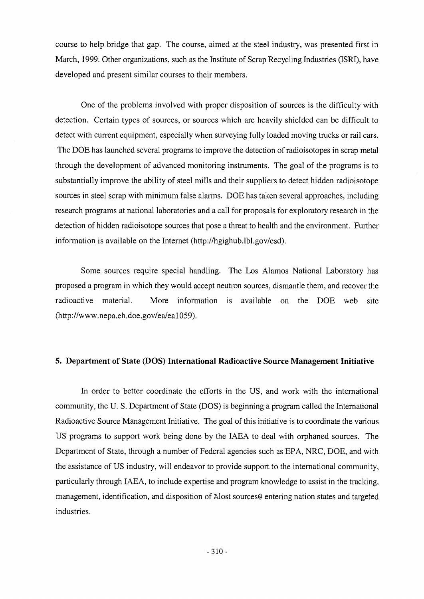course to help bridge that gap. The course, aimed at the steel industry, was presented first in March, 1999. Other organizations, such as the Institute of Scrap Recycling Industries (ISRI), have developed and present similar courses to their members.

One of the problems involved with proper disposition of sources is the difficulty with detection. Certain types of sources, or sources which are heavily shielded can be difficult to detect with current equipment, especially when surveying fully loaded moving trucks or rail cars. The DOE has launched several programs to improve the detection of radioisotopes in scrap metal through the development of advanced monitoring instruments. The goal of the programs is to substantially improve the ability of steel mills and their suppliers to detect hidden radioisotope sources in steel scrap with minimum false alarms. DOE has taken several approaches, including research programs at national laboratories and a call for proposals for exploratory research in the detection of hidden radioisotope sources that pose a threat to health and the environment. Further information is available on the Internet (http://hgighub.lbl.gov/esd).

Some sources require special handling. The Los Alamos National Laboratory has proposed a program in which they would accept neutron sources, dismantle them, and recover the radioactive material. More information is available on the DOE web site (http://www.nepa.eh.doe.gov/ea/eal059).

#### **5. Department of State (DOS) International Radioactive Source Management Initiative**

In order to better coordinate the efforts in the US, and work with the international community, the U. S. Department of State (DOS) is beginning a program called the International Radioactive Source Management Initiative. The goal of this initiative is to coordinate the various US programs to support work being done by the IAEA to deal with orphaned sources. The Department of State, through a number of Federal agencies such as EPA, NRC, DOE, and with the assistance of US industry, will endeavor to provide support to the international community, particularly through IAEA, to include expertise and program knowledge to assist in the tracking, management, identification, and disposition of Alost sources© entering nation states and targeted industries.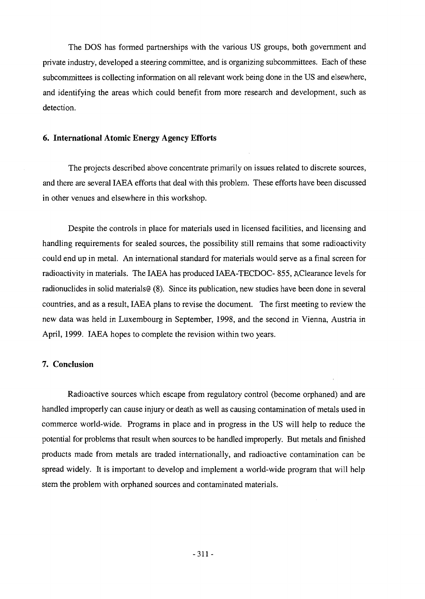The DOS has formed partnerships with the various US groups, both government and private industry, developed a steering committee, and is organizing subcommittees. Each of these subcommittees is collecting information on all relevant work being done in the US and elsewhere, and identifying the areas which could benefit from more research and development, such as detection.

#### **6. International Atomic Energy Agency Efforts**

The projects described above concentrate primarily on issues related to discrete sources, and there are several IAEA efforts that deal with this problem. These efforts have been discussed in other venues and elsewhere in this workshop.

Despite the controls in place for materials used in licensed facilities, and licensing and handling requirements for sealed sources, the possibility still remains that some radioactivity could end up in metal. An international standard for materials would serve as a final screen for radioactivity in materials. The IAEA has produced IAEA-TECDOC- 855, AClearance levels for radionuclides in solid materials (8). Since its publication, new studies have been done in several countries, and as a result, IAEA plans to revise the document. The first meeting to review the new data was held in Luxembourg in September, 1998, and the second in Vienna, Austria in April, 1999. IAEA hopes to complete the revision within two years.

## **7. Conclusion**

Radioactive sources which escape from regulatory control (become orphaned) and are handled improperly can cause injury or death as well as causing contamination of metals used in commerce world-wide. Programs in place and in progress in the US will help to reduce the potential for problems that result when sources to be handled improperly. But metals and finished products made from metals are traded internationally, and radioactive contamination can be spread widely. It is important to develop and implement a world-wide program that will help stem the problem with orphaned sources and contaminated materials.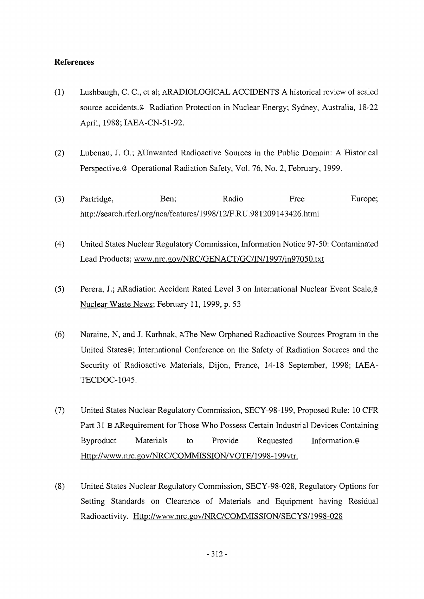## **References**

- **(1)** Lushbaugh, C. C, et al; ARADIOLOGICAL ACCIDENTS A historical review of sealed source accidents.© Radiation Protection in Nuclear Energy; Sydney, Australia, 18-22 April, 1988; IAEA-CN-51-92.
- (2) Lubenau, J. O.; AUnwanted Radioactive Sources in the Public Domain: A Historical Perspective.® Operational Radiation Safety, Vol. 76, No. 2, February, 1999.
- (3) Partridge, Ben; Radio Free Europe; http://search.rferl.Org/nca/features/1998/12/F.RU.981209143426.html
- (4) United States Nuclear Regulatory Commission, Information Notice 97-50: Contaminated Lead Products; www.nrc.gov/NRC/GENACT/GC/IN/1997/in97050.txt
- (5) Perera, J.; ARadiation Accident Rated Level 3 on International Nuclear Event Scale,® Nuclear Waste News; February 11, 1999, p. 53
- (6) Naraine, N, and J. Karhnak, AThe New Orphaned Radioactive Sources Program in the United States®; International Conference on the Safety of Radiation Sources and the Security of Radioactive Materials, Dijon, France, 14-18 September, 1998; IAEA-TECDOC-1045.
- (7) United States Nuclear Regulatory Commission, SECY-98-199, Proposed Rule: 10 CFR Part 31 B ARequirement for Those Who Possess Certain Industrial Devices Containing Byproduct Materials to Provide Requested Information.® Http://www.nrc.gov/NRC/COMMISSION/VOTE/1998-199vtr.
- (8) United States Nuclear Regulatory Commission, SECY-98-028, Regulatory Options for Setting Standards on Clearance of Materials and Equipment having Residual Radioactivity. Http://www.nrc.gov/NRC/COMMISSION/SECYS/1998-028